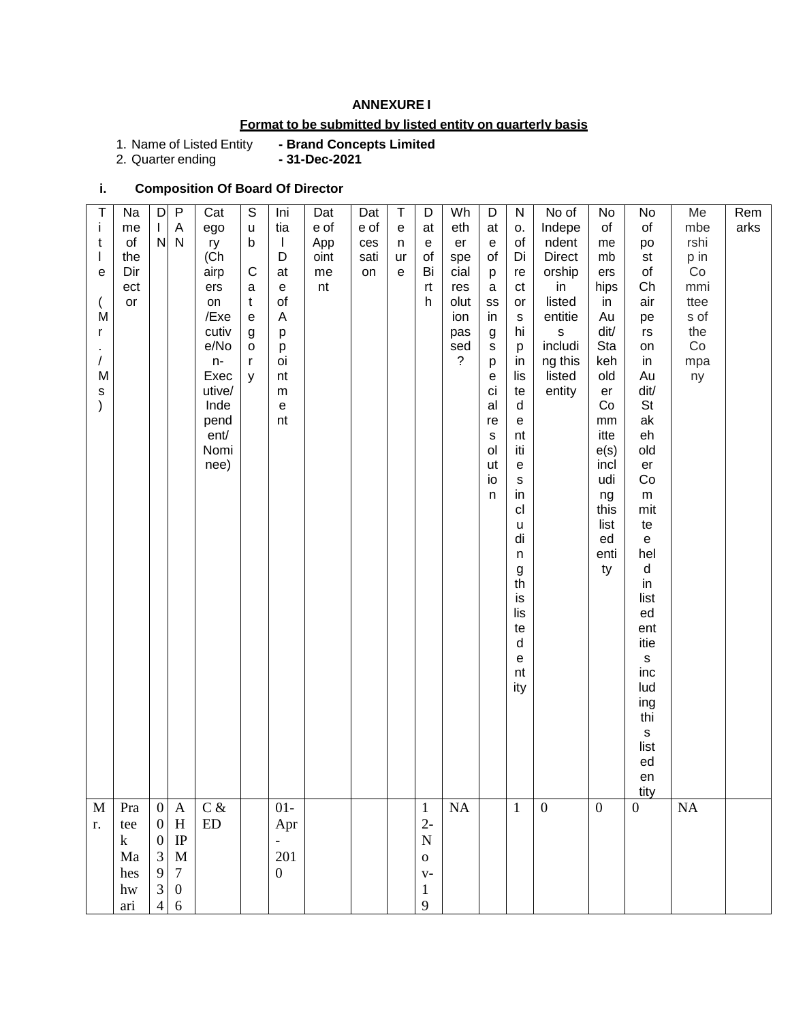## **ANNEXURE I**

# **Format to be submitted by listed entity on quarterly basis**

1. Name of Listed Entity<br>2. Quarter ending

**- Brand Concepts Limited<br>- 31-Dec-2021** 

# **i. Composition Of Board Of Director**

| Τ<br>Ť<br>t<br>$\overline{1}$<br>е<br>M<br>r<br>$\sqrt{2}$<br>M<br>$\mathsf S$<br>$\mathcal{E}$ | Na<br>me<br>of<br>the<br>Dir<br>ect<br>or       | $\mathsf D$<br>$\mathsf{L}$<br>${\sf N}$                                                     | $\mathsf{P}$<br>A<br>$\mathsf{N}$                                                          | Cat<br>ego<br>ry<br>(Ch<br>airp<br>ers<br>on<br>/Exe<br>cutiv<br>e/No<br>n-<br>Exec<br>utive/<br>Inde<br>pend<br>ent/<br>Nomi<br>nee) | $\mathbb S$<br>$\mathsf{u}%$<br>$\mathsf b$<br>$\mathsf{C}$<br>a<br>$\mathsf{t}$<br>${\bf e}$<br>g<br>$\mathsf{o}$<br>$\mathsf{r}$<br>y | Ini<br>tia<br>$\mathbf{I}$<br>D<br>at<br>${\bf e}$<br>of<br>A<br>р<br>p<br>oi<br>nt<br>${\sf m}$<br>$\mathsf{e}% _{t}\left( t\right)$<br>nt | Dat<br>e of<br>App<br>oint<br>me<br>nt | Dat<br>e of<br>ces<br>sati<br>on | $\sf T$<br>e<br>n<br>ur<br>e | D<br>at<br>e<br>of<br>Bi<br>rt<br>h                                              | Wh<br>eth<br>er<br>spe<br>cial<br>res<br>olut<br>ion<br>pas<br>sed<br>$\overline{?}$ | D<br>at<br>$\mathsf e$<br>of<br>p<br>$\mathsf a$<br>SS<br>in<br>g<br>${\tt S}$<br>p<br>е<br>ci<br>al<br>re<br>${\tt S}$<br>ol<br>ut<br>io<br>$\sf n$ | ${\sf N}$<br>О.<br>$\mathsf{of}$<br>Di<br>re<br>ct<br>or<br>s<br>hi<br>p<br>in<br>lis<br>te<br>$\sf d$<br>e<br>nt<br>iti<br>e<br>s<br>in<br>cl<br>u<br>di<br>n<br>$\boldsymbol{g}$<br>th<br>is<br>lis<br>te<br>$\sf d$<br>е<br>nt<br>ity | No of<br>Indepe<br>ndent<br><b>Direct</b><br>orship<br>in<br>listed<br>entitie<br>s<br>includi<br>ng this<br>listed<br>entity | No<br>of<br>me<br>mb<br>ers<br>hips<br>in<br>Au<br>dit/<br>Sta<br>keh<br>old<br>er<br>Co<br>mm<br>itte<br>e(s)<br>incl<br>udi<br>ng<br>this<br>list<br>ed<br>enti<br>ty | No<br>of<br>po<br>st<br>of<br>Ch<br>air<br>pe<br>rs<br>on<br>in<br>Au<br>dit/<br>St<br>ak<br>eh<br>old<br>er<br>Co<br>${\sf m}$<br>mit<br>te<br>${\bf e}$<br>hel<br>$\sf d$<br>$\mathsf{in}$<br>list<br>ed<br>ent<br>itie<br>$\mathsf{s}$<br>inc<br>lud<br>ing<br>thi<br>$\mathbf S$<br>list<br>ed<br>en<br>tity | Me<br>mbe<br>rshi<br>p in<br>Co<br>mmi<br>ttee<br>s of<br>the<br>Co<br>mpa<br>ny | Rem<br>arks |
|-------------------------------------------------------------------------------------------------|-------------------------------------------------|----------------------------------------------------------------------------------------------|--------------------------------------------------------------------------------------------|---------------------------------------------------------------------------------------------------------------------------------------|-----------------------------------------------------------------------------------------------------------------------------------------|---------------------------------------------------------------------------------------------------------------------------------------------|----------------------------------------|----------------------------------|------------------------------|----------------------------------------------------------------------------------|--------------------------------------------------------------------------------------|------------------------------------------------------------------------------------------------------------------------------------------------------|------------------------------------------------------------------------------------------------------------------------------------------------------------------------------------------------------------------------------------------|-------------------------------------------------------------------------------------------------------------------------------|-------------------------------------------------------------------------------------------------------------------------------------------------------------------------|------------------------------------------------------------------------------------------------------------------------------------------------------------------------------------------------------------------------------------------------------------------------------------------------------------------|----------------------------------------------------------------------------------|-------------|
| M<br>r.                                                                                         | Pra<br>tee<br>$\bf k$<br>Ma<br>hes<br>hw<br>ari | $\overline{0}$<br>$\mathbf{0}$<br>$\mathbf{0}$<br>$\overline{3}$<br>9<br>3<br>$\overline{4}$ | $\mathbf{A}$<br>$\, {\rm H}$<br>$\rm IP$<br>$\mathbf M$<br>$\tau$<br>$\boldsymbol{0}$<br>6 | $C\,\&$<br>${\rm ED}$                                                                                                                 |                                                                                                                                         | $01-$<br>Apr<br>201<br>$\boldsymbol{0}$                                                                                                     |                                        |                                  |                              | $\mathbf{1}$<br>$2-$<br>$\mathbf N$<br>$\mathbf 0$<br>$V -$<br>$\mathbf{1}$<br>9 | NA                                                                                   |                                                                                                                                                      | $\mathbf{1}$                                                                                                                                                                                                                             | $\mathbf{0}$                                                                                                                  | $\boldsymbol{0}$                                                                                                                                                        | $\overline{0}$                                                                                                                                                                                                                                                                                                   | <b>NA</b>                                                                        |             |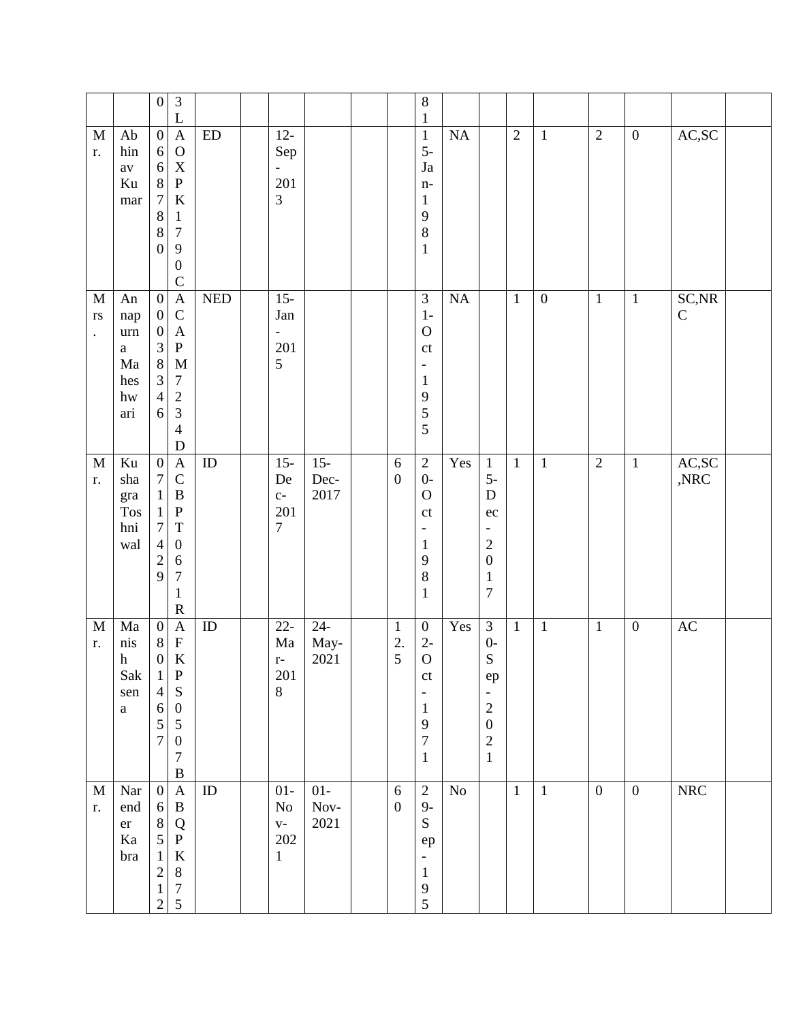|                                                               |                                                                             | $\overline{3}$<br>$\boldsymbol{0}$<br>L                                                                                                                                                                                                                                              |                       |            |                                                      |                        |                                      | $\,8\,$<br>$\mathbf{1}$                                                                                                         |          |                                                                                                                                                    |                |                  |                  |                  |                         |  |
|---------------------------------------------------------------|-----------------------------------------------------------------------------|--------------------------------------------------------------------------------------------------------------------------------------------------------------------------------------------------------------------------------------------------------------------------------------|-----------------------|------------|------------------------------------------------------|------------------------|--------------------------------------|---------------------------------------------------------------------------------------------------------------------------------|----------|----------------------------------------------------------------------------------------------------------------------------------------------------|----------------|------------------|------------------|------------------|-------------------------|--|
| $\mathbf M$<br>r.                                             | Ab<br>hin<br>$\rm av$<br>Ku<br>mar                                          | $\boldsymbol{0}$<br>$\boldsymbol{\mathsf{A}}$<br>$\mathcal{O}$<br>$\sqrt{6}$<br>$\mathbf X$<br>$\sqrt{6}$<br>$\,8\,$<br>${\bf P}$<br>$\boldsymbol{7}$<br>$\,8\,$<br>$\mathbf{1}$<br>$\,8\,$<br>$\boldsymbol{7}$<br>9<br>$\boldsymbol{0}$<br>$\boldsymbol{0}$<br>$\mathsf{C}$         | ${\rm ED}$<br>$\rm K$ |            | $12-$<br>Sep<br>$\overline{\phantom{0}}$<br>201<br>3 |                        |                                      | $1\,$<br>$5-$<br>$\mathrm{Ja}$<br>$n-$<br>$\mathbf{1}$<br>$\mathbf{9}$<br>$\bf 8$<br>$\mathbf{1}$                               | $\rm NA$ |                                                                                                                                                    | $\overline{2}$ | $\mathbf{1}$     | $\overline{2}$   | $\boldsymbol{0}$ | AC,SC                   |  |
| $\mathbf M$<br>$\mathbf{r}\mathbf{s}$<br>$\ddot{\phantom{0}}$ | An<br>nap<br>$\,$ urn<br>$\mathbf{a}$<br>Ma<br>hes<br>hw<br>ari             | $\overline{0}$<br>$\overline{A}$<br>$\mathsf{C}$<br>$\boldsymbol{0}$<br>$\boldsymbol{\mathsf{A}}$<br>$\boldsymbol{0}$<br>$\mathfrak{Z}$<br>${\bf P}$<br>$8\,$<br>$\mathfrak{Z}$<br>$\tau$<br>$\overline{4}$<br>$\frac{2}{3}$<br>6<br>$\overline{\mathcal{L}}$<br>$\mathbf D$         | $\mathbf M$           | <b>NED</b> | $15 -$<br>Jan<br>-<br>201<br>5                       |                        |                                      | $\overline{3}$<br>$1-$<br>$\mathbf{O}$<br>$\mathsf{ct}$<br>$\overline{\phantom{a}}$<br>$\mathbf{1}$<br>$\overline{9}$<br>5<br>5 | $\rm NA$ |                                                                                                                                                    | $\mathbf{1}$   | $\boldsymbol{0}$ | $\mathbf{1}$     | $\mathbf{1}$     | SC, NR<br>$\mathsf C$   |  |
| $\mathbf M$<br>r.                                             | $\rm Ku$<br>$_{\rm sha}$<br>gra<br><b>Tos</b><br>hni<br>wal                 | $\boldsymbol{0}$<br>$\mathbf A$<br>$\mathbf C$<br>$\boldsymbol{7}$<br>$\, {\bf B}$<br>$\mathbf{1}$<br>${\bf P}$<br>$\mathbf{1}$<br>$\tau$<br>$\mathbf T$<br>$\boldsymbol{0}$<br>$\overline{4}$<br>$\overline{c}$<br>6<br>9<br>$\boldsymbol{7}$<br>$\mathbf{1}$<br>$\mathbf R$        | ${\rm ID}$            |            | $15 -$<br>De<br>$C-$<br>201<br>7                     | $15 -$<br>Dec-<br>2017 | $\sqrt{6}$<br>$\boldsymbol{0}$       | $\sqrt{2}$<br>$0-$<br>$\mathbf{O}$<br>$\mathsf{ct}$<br>$\overline{\phantom{a}}$<br>$\mathbf{1}$<br>9<br>8<br>$\mathbf{1}$       | Yes      | $\mathbf{1}$<br>$5-$<br>$\mathbf D$<br>ec<br>$\qquad \qquad \blacksquare$<br>$\overline{c}$<br>$\boldsymbol{0}$<br>$\mathbf 1$<br>$\boldsymbol{7}$ | $\mathbf{1}$   | $\mathbf{1}$     | $\overline{2}$   | $\mathbf{1}$     | AC,SC<br>$,\!{\rm NRC}$ |  |
| $\mathbf M$<br>r.                                             | $\rm{Ma}$<br>nis<br>$\boldsymbol{\textbf{h}}$<br>Sak<br>sen<br>$\mathbf{a}$ | $\boldsymbol{0}$<br>$\boldsymbol{\mathsf{A}}$<br>${\bf F}$<br>$\,8\,$<br>$\rm K$<br>$\boldsymbol{0}$<br>${\bf P}$<br>1<br>${\bf S}$<br>$\overline{\mathcal{L}}$<br>6<br>$\boldsymbol{0}$<br>$\mathfrak s$<br>5<br>$\overline{7}$<br>$\boldsymbol{0}$<br>$\boldsymbol{7}$<br>$\bf{B}$ | $\rm ID$              |            | $22 -$<br>Ma<br>$\mathbf{r}$ –<br>201<br>8           | $24 -$<br>May-<br>2021 | $\mathbf{1}$<br>2.<br>$\overline{5}$ | $\boldsymbol{0}$<br>$2-$<br>$\mathbf O$<br>$\mathsf{ct}$<br>$\mathbf{1}$<br>9<br>$\boldsymbol{7}$<br>$\mathbf{1}$               | Yes      | $\overline{\mathbf{3}}$<br>$0-$<br>${\bf S}$<br>${\rm e p}$<br>$\sqrt{2}$<br>$\boldsymbol{0}$<br>$\overline{c}$<br>$\,1\,$                         | $\mathbf{1}$   | $\mathbf{1}$     | $\mathbf{1}$     | $\boldsymbol{0}$ | $\mathbf{A}\mathbf{C}$  |  |
| $\mathbf M$<br>r.                                             | Nar<br>end<br>$\rm er$<br>Ka<br>bra                                         | $\boldsymbol{\rm{A}}$<br>$\boldsymbol{0}$<br>$\, {\bf B}$<br>$6\,$<br>$\,8\,$<br>${\bf Q}$<br>5<br>${\bf P}$<br>$\mathbf{1}$<br>$\sqrt{2}$<br>$8\,$<br>$\boldsymbol{7}$<br>$\mathbf{1}$<br>5<br>$\overline{c}$                                                                       | $\rm ID$<br>$\rm K$   |            | $01-$<br>No<br>$V -$<br>202<br>$\mathbf{1}$          | $01-$<br>Nov-<br>2021  | $\sqrt{6}$<br>$\boldsymbol{0}$       | $\sqrt{2}$<br>$9-$<br>${\bf S}$<br>${\rm e p}$<br>$\overline{\phantom{a}}$<br>$\mathbf{1}$<br>$\overline{9}$<br>5               | $\rm No$ |                                                                                                                                                    | $\mathbf{1}$   | $\mathbf{1}$     | $\boldsymbol{0}$ | $\boldsymbol{0}$ | ${\rm NRC}$             |  |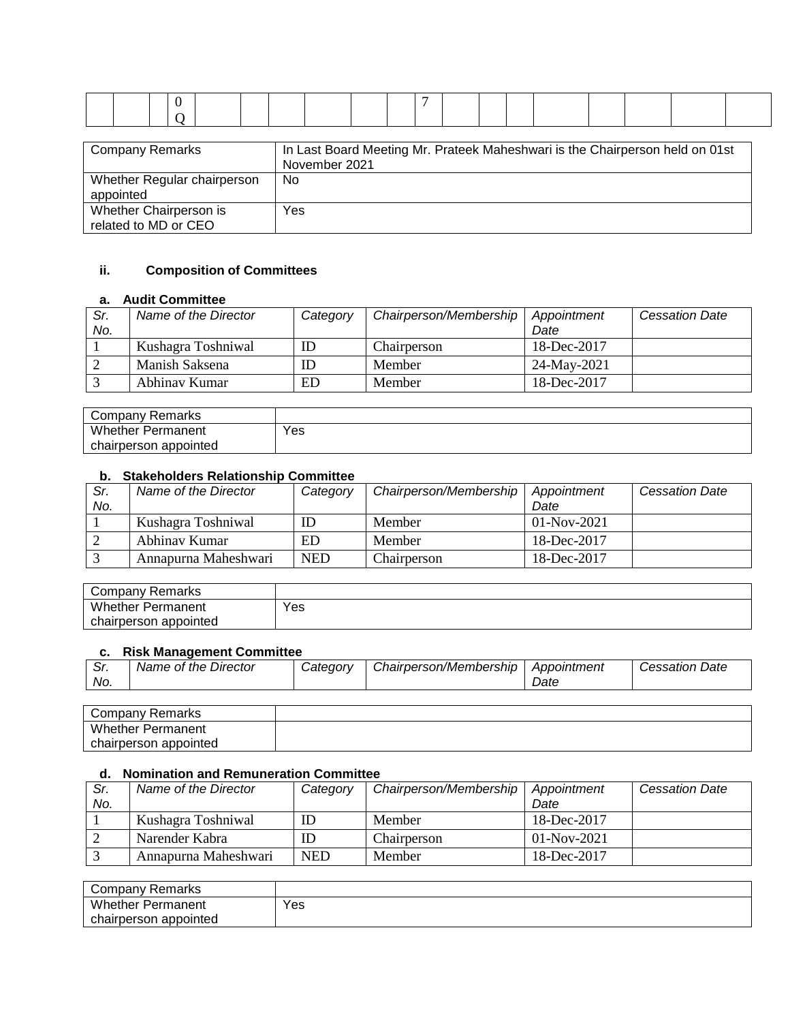| <b>Company Remarks</b>                   | In Last Board Meeting Mr. Prateek Maheshwari is the Chairperson held on 01st<br>November 2021 |  |
|------------------------------------------|-----------------------------------------------------------------------------------------------|--|
| Whether Regular chairperson<br>appointed | No                                                                                            |  |

## **ii. Composition of Committees**

Yes

#### **a. Audit Committee**

Whether Chairperson is related to MD or CEO

| Sr.<br>No. | Name of the Director | Category | Chairperson/Membership | Appointment<br>Date | <b>Cessation Date</b> |
|------------|----------------------|----------|------------------------|---------------------|-----------------------|
|            | Kushagra Toshniwal   |          | Chairperson            | 18-Dec-2017         |                       |
|            | Manish Saksena       |          | Member                 | 24-May-2021         |                       |
|            | Abhinay Kumar        | ED       | Member                 | 18-Dec-2017         |                       |

| Remarks<br>Company       |     |
|--------------------------|-----|
| Whether<br>Permanent     | Yes |
| appointed<br>chairperson |     |

#### **b. Stakeholders Relationship Committee**

| Sr.<br>No. | Name of the Director | Category | Chairperson/Membership | Appointment<br>Date | <b>Cessation Date</b> |
|------------|----------------------|----------|------------------------|---------------------|-----------------------|
|            | Kushagra Toshniwal   | ID       | Member                 | $01-Nov-2021$       |                       |
|            | Abhinay Kumar        | ED       | Member                 | 18-Dec-2017         |                       |
|            | Annapurna Maheshwari | NED      | Chairperson            | 18-Dec-2017         |                       |

| Company Remarks          |     |
|--------------------------|-----|
| <b>Whether Permanent</b> | Yes |
| chairperson appointed    |     |

#### **c. Risk Management Committee**

| . ، اب<br>No. | Name of the Director | Categorv | Chairperson/Membership | Appointment<br>Date | <b>Cessation Date</b> |
|---------------|----------------------|----------|------------------------|---------------------|-----------------------|
|               |                      |          |                        |                     |                       |

| Company<br>≺emarks<br>◡  |  |
|--------------------------|--|
| Whether.<br>Permanent    |  |
| appointed<br>chairperson |  |

### **d. Nomination and Remuneration Committee**

| Sr.<br>No. | Name of the Director | Category   | Chairperson/Membership | Appointment<br>Date | <b>Cessation Date</b> |
|------------|----------------------|------------|------------------------|---------------------|-----------------------|
|            |                      |            |                        |                     |                       |
|            | Kushagra Toshniwal   |            | Member                 | 18-Dec-2017         |                       |
|            | Narender Kabra       |            | Chairperson            | $01-Nov-2021$       |                       |
|            | Annapurna Maheshwari | <b>NED</b> | Member                 | 18-Dec-2017         |                       |

| Remarks<br>∵ompany ت  |     |
|-----------------------|-----|
| Whether<br>Permanent  | Yes |
| chairperson appointed |     |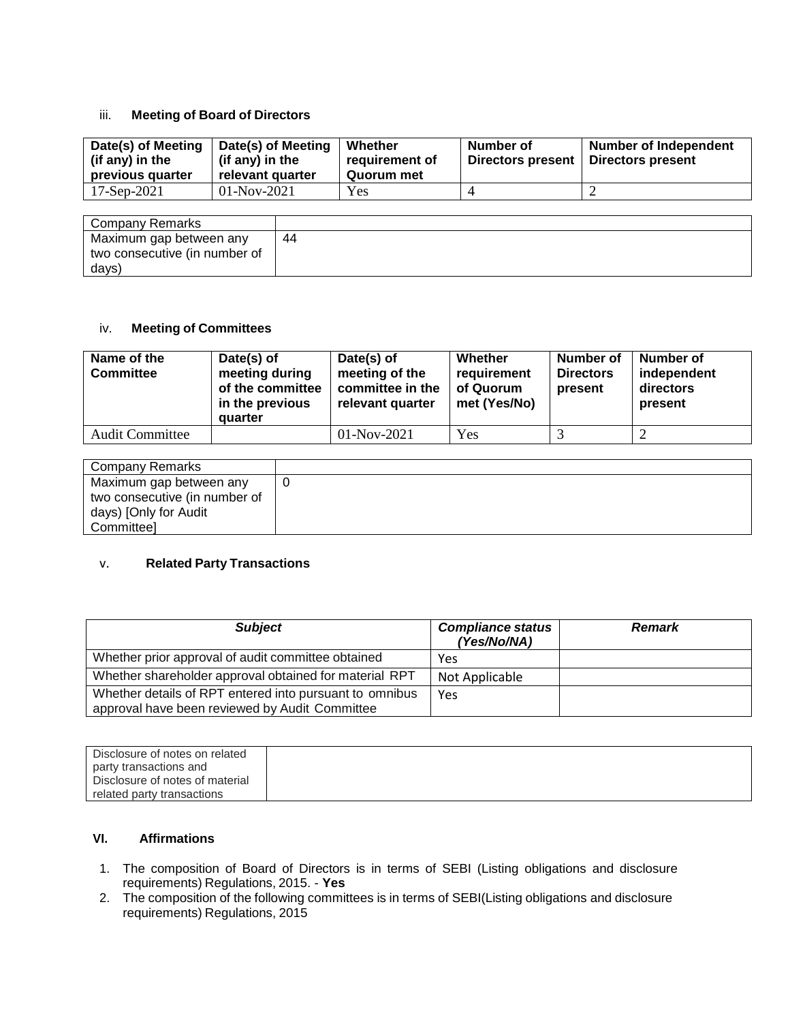#### iii. **Meeting of Board of Directors**

| Date(s) of Meeting<br>(if any) in the<br>previous quarter | Date(s) of Meeting<br>(if any) in the<br>relevant quarter | Whether<br>requirement of<br>Quorum met | Number of<br><b>Directors present</b> | <b>Number of Independent</b><br>Directors present |
|-----------------------------------------------------------|-----------------------------------------------------------|-----------------------------------------|---------------------------------------|---------------------------------------------------|
| $17-$ Sep $-2021$                                         | $01-Nov-2021$                                             | Yes                                     |                                       |                                                   |

| Company Remarks               |     |
|-------------------------------|-----|
| Maximum gap between any       | -44 |
| two consecutive (in number of |     |
| days)                         |     |

### iv. **Meeting of Committees**

| Name of the<br><b>Committee</b> | Date(s) of<br>meeting during<br>of the committee<br>in the previous<br>quarter | Date(s) of<br>meeting of the<br>committee in the<br>relevant quarter | Whether<br>requirement<br>of Quorum<br>met (Yes/No) | <b>Number of</b><br><b>Directors</b><br>present | Number of<br>independent<br>directors<br>present |
|---------------------------------|--------------------------------------------------------------------------------|----------------------------------------------------------------------|-----------------------------------------------------|-------------------------------------------------|--------------------------------------------------|
| <b>Audit Committee</b>          |                                                                                | $01-Nov-2021$                                                        | Yes                                                 |                                                 |                                                  |

| Company Remarks               |  |
|-------------------------------|--|
| Maximum gap between any       |  |
| two consecutive (in number of |  |
| days) [Only for Audit         |  |
| Committee]                    |  |

#### v. **Related Party Transactions**

| <b>Subject</b>                                                                                            | <b>Compliance status</b><br>(Yes/No/NA) | <b>Remark</b> |
|-----------------------------------------------------------------------------------------------------------|-----------------------------------------|---------------|
| Whether prior approval of audit committee obtained                                                        | Yes                                     |               |
| Whether shareholder approval obtained for material RPT                                                    | Not Applicable                          |               |
| Whether details of RPT entered into pursuant to omnibus<br>approval have been reviewed by Audit Committee | Yes                                     |               |

| Disclosure of notes on related  |  |
|---------------------------------|--|
| party transactions and          |  |
| Disclosure of notes of material |  |
| related party transactions      |  |

### **VI. Affirmations**

- 1. The composition of Board of Directors is in terms of SEBI (Listing obligations and disclosure requirements) Regulations, 2015. - **Yes**
- 2. The composition of the following committees is in terms of SEBI(Listing obligations and disclosure requirements) Regulations, 2015